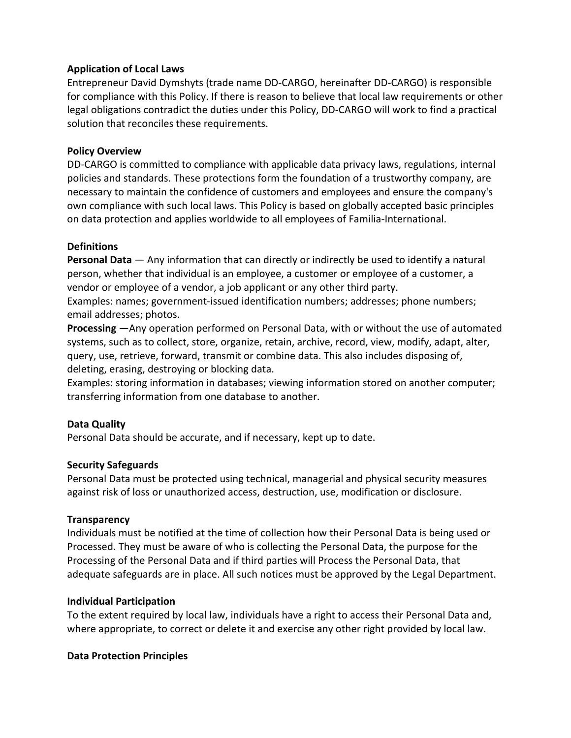# **Application of Local Laws**

Entrepreneur David Dymshyts (trade name DD-CARGO, hereinafter DD-CARGO) is responsible for compliance with this Policy. If there is reason to believe that local law requirements or other legal obligations contradict the duties under this Policy, DD-CARGO will work to find a practical solution that reconciles these requirements.

### **Policy Overview**

DD-CARGO is committed to compliance with applicable data privacy laws, regulations, internal policies and standards. These protections form the foundation of a trustworthy company, are necessary to maintain the confidence of customers and employees and ensure the company's own compliance with such local laws. This Policy is based on globally accepted basic principles on data protection and applies worldwide to all employees of Familia-International.

# **Definitions**

**Personal Data** — Any information that can directly or indirectly be used to identify a natural person, whether that individual is an employee, a customer or employee of a customer, a vendor or employee of a vendor, a job applicant or any other third party.

Examples: names; government-issued identification numbers; addresses; phone numbers; email addresses; photos.

**Processing** —Any operation performed on Personal Data, with or without the use of automated systems, such as to collect, store, organize, retain, archive, record, view, modify, adapt, alter, query, use, retrieve, forward, transmit or combine data. This also includes disposing of, deleting, erasing, destroying or blocking data.

Examples: storing information in databases; viewing information stored on another computer; transferring information from one database to another.

### **Data Quality**

Personal Data should be accurate, and if necessary, kept up to date.

# **Security Safeguards**

Personal Data must be protected using technical, managerial and physical security measures against risk of loss or unauthorized access, destruction, use, modification or disclosure.

### **Transparency**

Individuals must be notified at the time of collection how their Personal Data is being used or Processed. They must be aware of who is collecting the Personal Data, the purpose for the Processing of the Personal Data and if third parties will Process the Personal Data, that adequate safeguards are in place. All such notices must be approved by the Legal Department.

### **Individual Participation**

To the extent required by local law, individuals have a right to access their Personal Data and, where appropriate, to correct or delete it and exercise any other right provided by local law.

### **Data Protection Principles**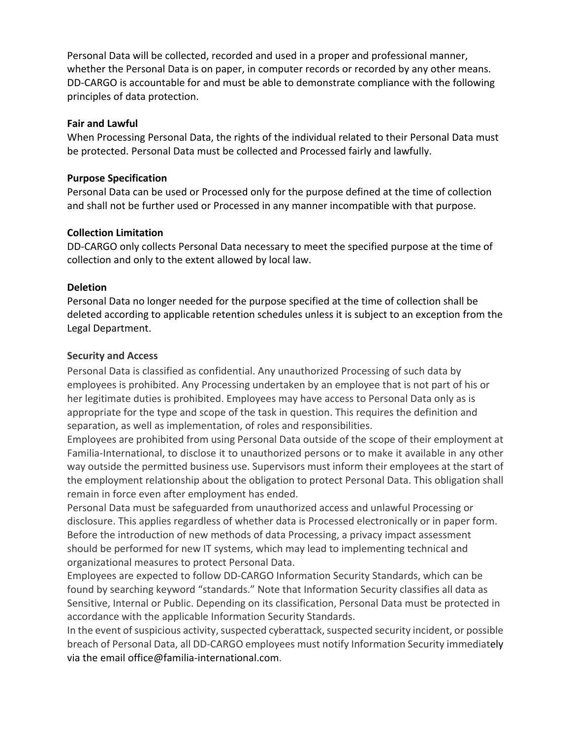Personal Data will be collected, recorded and used in a proper and professional manner, whether the Personal Data is on paper, in computer records or recorded by any other means. DD-CARGO is accountable for and must be able to demonstrate compliance with the following principles of data protection.

### **Fair and Lawful**

When Processing Personal Data, the rights of the individual related to their Personal Data must be protected. Personal Data must be collected and Processed fairly and lawfully.

### **Purpose Specification**

Personal Data can be used or Processed only for the purpose defined at the time of collection and shall not be further used or Processed in any manner incompatible with that purpose.

# **Collection Limitation**

DD-CARGO only collects Personal Data necessary to meet the specified purpose at the time of collection and only to the extent allowed by local law.

# **Deletion**

Personal Data no longer needed for the purpose specified at the time of collection shall be deleted according to applicable retention schedules unless it is subject to an exception from the Legal Department.

# **Security and Access**

Personal Data is classified as confidential. Any unauthorized Processing of such data by employees is prohibited. Any Processing undertaken by an employee that is not part of his or her legitimate duties is prohibited. Employees may have access to Personal Data only as is appropriate for the type and scope of the task in question. This requires the definition and separation, as well as implementation, of roles and responsibilities.

Employees are prohibited from using Personal Data outside of the scope of their employment at Familia-International, to disclose it to unauthorized persons or to make it available in any other way outside the permitted business use. Supervisors must inform their employees at the start of the employment relationship about the obligation to protect Personal Data. This obligation shall remain in force even after employment has ended.

Personal Data must be safeguarded from unauthorized access and unlawful Processing or disclosure. This applies regardless of whether data is Processed electronically or in paper form. Before the introduction of new methods of data Processing, a privacy impact assessment should be performed for new IT systems, which may lead to implementing technical and organizational measures to protect Personal Data.

Employees are expected to follow DD-CARGO Information Security Standards, which can be found by searching keyword "standards." Note that Information Security classifies all data as Sensitive, Internal or Public. Depending on its classification, Personal Data must be protected in accordance with the applicable Information Security Standards.

In the event of suspicious activity, suspected cyberattack, suspected security incident, or possible breach of Personal Data, all DD-CARGO employees must notify Information Security immediately via the email office@familia-international.com.